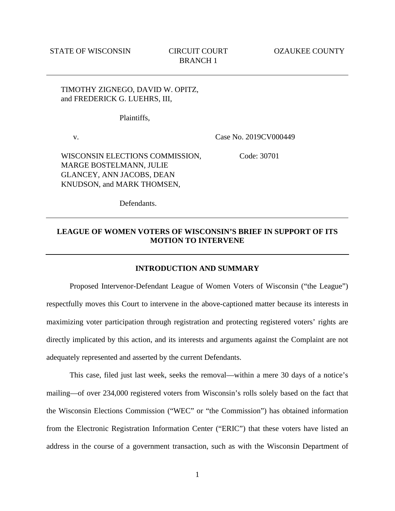# TIMOTHY ZIGNEGO, DAVID W. OPITZ, and FREDERICK G. LUEHRS, III,

Plaintiffs,

v.

Case No. 2019CV000449

WISCONSIN ELECTIONS COMMISSION, MARGE BOSTELMANN, JULIE GLANCEY, ANN JACOBS, DEAN KNUDSON, and MARK THOMSEN,

Code: 30701

Defendants.

## **LEAGUE OF WOMEN VOTERS OF WISCONSIN'S BRIEF IN SUPPORT OF ITS MOTION TO INTERVENE**

#### **INTRODUCTION AND SUMMARY**

Proposed Intervenor-Defendant League of Women Voters of Wisconsin ("the League") respectfully moves this Court to intervene in the above-captioned matter because its interests in maximizing voter participation through registration and protecting registered voters' rights are directly implicated by this action, and its interests and arguments against the Complaint are not adequately represented and asserted by the current Defendants.

This case, filed just last week, seeks the removal—within a mere 30 days of a notice's mailing—of over 234,000 registered voters from Wisconsin's rolls solely based on the fact that the Wisconsin Elections Commission ("WEC" or "the Commission") has obtained information from the Electronic Registration Information Center ("ERIC") that these voters have listed an address in the course of a government transaction, such as with the Wisconsin Department of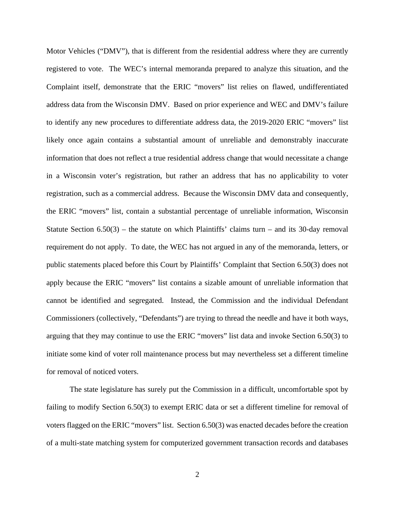Motor Vehicles ("DMV"), that is different from the residential address where they are currently registered to vote. The WEC's internal memoranda prepared to analyze this situation, and the Complaint itself, demonstrate that the ERIC "movers" list relies on flawed, undifferentiated address data from the Wisconsin DMV. Based on prior experience and WEC and DMV's failure to identify any new procedures to differentiate address data, the 2019-2020 ERIC "movers" list likely once again contains a substantial amount of unreliable and demonstrably inaccurate information that does not reflect a true residential address change that would necessitate a change in a Wisconsin voter's registration, but rather an address that has no applicability to voter registration, such as a commercial address. Because the Wisconsin DMV data and consequently, the ERIC "movers" list, contain a substantial percentage of unreliable information, Wisconsin Statute Section  $6.50(3)$  – the statute on which Plaintiffs' claims turn – and its 30-day removal requirement do not apply. To date, the WEC has not argued in any of the memoranda, letters, or public statements placed before this Court by Plaintiffs' Complaint that Section 6.50(3) does not apply because the ERIC "movers" list contains a sizable amount of unreliable information that cannot be identified and segregated. Instead, the Commission and the individual Defendant Commissioners (collectively, "Defendants") are trying to thread the needle and have it both ways, arguing that they may continue to use the ERIC "movers" list data and invoke Section 6.50(3) to initiate some kind of voter roll maintenance process but may nevertheless set a different timeline for removal of noticed voters.

The state legislature has surely put the Commission in a difficult, uncomfortable spot by failing to modify Section 6.50(3) to exempt ERIC data or set a different timeline for removal of voters flagged on the ERIC "movers" list. Section 6.50(3) was enacted decades before the creation of a multi-state matching system for computerized government transaction records and databases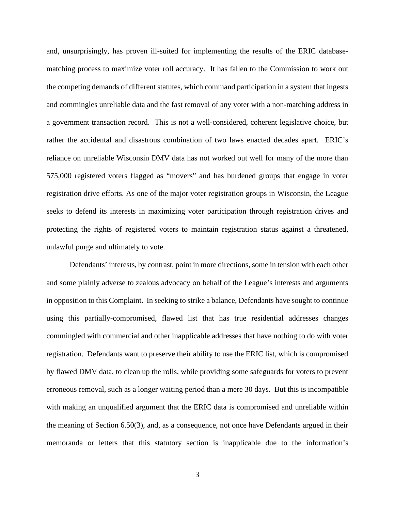and, unsurprisingly, has proven ill-suited for implementing the results of the ERIC databasematching process to maximize voter roll accuracy. It has fallen to the Commission to work out the competing demands of different statutes, which command participation in a system that ingests and commingles unreliable data and the fast removal of any voter with a non-matching address in a government transaction record. This is not a well-considered, coherent legislative choice, but rather the accidental and disastrous combination of two laws enacted decades apart. ERIC's reliance on unreliable Wisconsin DMV data has not worked out well for many of the more than 575,000 registered voters flagged as "movers" and has burdened groups that engage in voter registration drive efforts. As one of the major voter registration groups in Wisconsin, the League seeks to defend its interests in maximizing voter participation through registration drives and protecting the rights of registered voters to maintain registration status against a threatened, unlawful purge and ultimately to vote.

Defendants' interests, by contrast, point in more directions, some in tension with each other and some plainly adverse to zealous advocacy on behalf of the League's interests and arguments in opposition to this Complaint. In seeking to strike a balance, Defendants have sought to continue using this partially-compromised, flawed list that has true residential addresses changes commingled with commercial and other inapplicable addresses that have nothing to do with voter registration. Defendants want to preserve their ability to use the ERIC list, which is compromised by flawed DMV data, to clean up the rolls, while providing some safeguards for voters to prevent erroneous removal, such as a longer waiting period than a mere 30 days. But this is incompatible with making an unqualified argument that the ERIC data is compromised and unreliable within the meaning of Section 6.50(3), and, as a consequence, not once have Defendants argued in their memoranda or letters that this statutory section is inapplicable due to the information's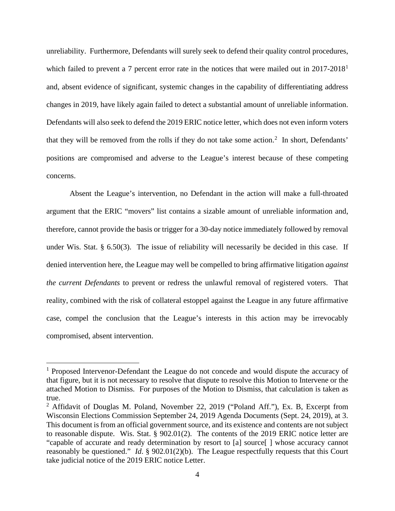unreliability. Furthermore, Defendants will surely seek to defend their quality control procedures, which failed to prevent a 7 percent error rate in the notices that were mailed out in 20[1](#page-3-0)7-2018<sup>1</sup> and, absent evidence of significant, systemic changes in the capability of differentiating address changes in 2019, have likely again failed to detect a substantial amount of unreliable information. Defendants will also seek to defend the 2019 ERIC notice letter, which does not even inform voters that they will be removed from the rolls if they do not take some action.<sup>[2](#page-3-1)</sup> In short, Defendants' positions are compromised and adverse to the League's interest because of these competing concerns.

Absent the League's intervention, no Defendant in the action will make a full-throated argument that the ERIC "movers" list contains a sizable amount of unreliable information and, therefore, cannot provide the basis or trigger for a 30-day notice immediately followed by removal under Wis. Stat. § 6.50(3). The issue of reliability will necessarily be decided in this case. If denied intervention here, the League may well be compelled to bring affirmative litigation *against the current Defendants* to prevent or redress the unlawful removal of registered voters. That reality, combined with the risk of collateral estoppel against the League in any future affirmative case, compel the conclusion that the League's interests in this action may be irrevocably compromised, absent intervention.

<span id="page-3-0"></span><sup>1</sup> Proposed Intervenor-Defendant the League do not concede and would dispute the accuracy of that figure, but it is not necessary to resolve that dispute to resolve this Motion to Intervene or the attached Motion to Dismiss. For purposes of the Motion to Dismiss, that calculation is taken as true.

<span id="page-3-1"></span><sup>&</sup>lt;sup>2</sup> Affidavit of Douglas M. Poland, November 22, 2019 ("Poland Aff."), Ex. B, Excerpt from Wisconsin Elections Commission September 24, 2019 Agenda Documents (Sept. 24, 2019), at 3. This document is from an official government source, and its existence and contents are not subject to reasonable dispute. Wis. Stat. § 902.01(2). The contents of the 2019 ERIC notice letter are "capable of accurate and ready determination by resort to [a] source[ ] whose accuracy cannot reasonably be questioned." *Id*. § 902.01(2)(b). The League respectfully requests that this Court take judicial notice of the 2019 ERIC notice Letter.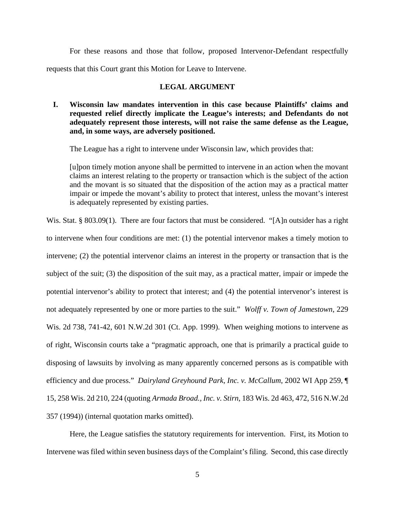For these reasons and those that follow, proposed Intervenor-Defendant respectfully requests that this Court grant this Motion for Leave to Intervene.

# **LEGAL ARGUMENT**

**I. Wisconsin law mandates intervention in this case because Plaintiffs' claims and requested relief directly implicate the League's interests; and Defendants do not adequately represent those interests, will not raise the same defense as the League, and, in some ways, are adversely positioned.** 

The League has a right to intervene under Wisconsin law, which provides that:

[u]pon timely motion anyone shall be permitted to intervene in an action when the movant claims an interest relating to the property or transaction which is the subject of the action and the movant is so situated that the disposition of the action may as a practical matter impair or impede the movant's ability to protect that interest, unless the movant's interest is adequately represented by existing parties.

Wis. Stat. § 803.09(1). There are four factors that must be considered. "[A]n outsider has a right to intervene when four conditions are met: (1) the potential intervenor makes a timely motion to intervene; (2) the potential intervenor claims an interest in the property or transaction that is the subject of the suit; (3) the disposition of the suit may, as a practical matter, impair or impede the potential intervenor's ability to protect that interest; and (4) the potential intervenor's interest is not adequately represented by one or more parties to the suit." *Wolff v. Town of Jamestown*, 229 Wis. 2d 738, 741-42, 601 N.W.2d 301 (Ct. App. 1999). When weighing motions to intervene as of right, Wisconsin courts take a "pragmatic approach, one that is primarily a practical guide to disposing of lawsuits by involving as many apparently concerned persons as is compatible with efficiency and due process." *Dairyland Greyhound Park, Inc. v. McCallum*, 2002 WI App 259, ¶ 15, 258 Wis. 2d 210, 224 (quoting *Armada Broad., Inc. v. Stirn*, 183 Wis. 2d 463, 472, 516 N.W.2d 357 (1994)) (internal quotation marks omitted).

Here, the League satisfies the statutory requirements for intervention. First, its Motion to Intervene was filed within seven business days of the Complaint's filing. Second, this case directly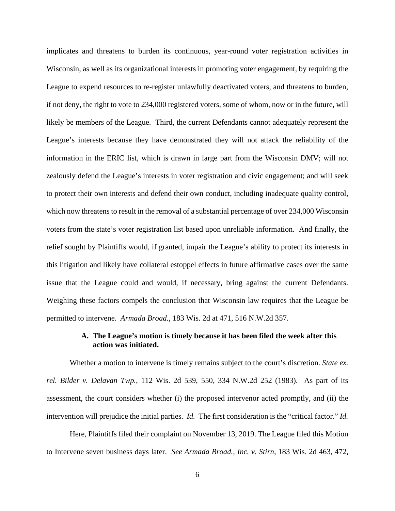implicates and threatens to burden its continuous, year-round voter registration activities in Wisconsin, as well as its organizational interests in promoting voter engagement, by requiring the League to expend resources to re-register unlawfully deactivated voters, and threatens to burden, if not deny, the right to vote to 234,000 registered voters, some of whom, now or in the future, will likely be members of the League. Third, the current Defendants cannot adequately represent the League's interests because they have demonstrated they will not attack the reliability of the information in the ERIC list, which is drawn in large part from the Wisconsin DMV; will not zealously defend the League's interests in voter registration and civic engagement; and will seek to protect their own interests and defend their own conduct, including inadequate quality control, which now threatens to result in the removal of a substantial percentage of over 234,000 Wisconsin voters from the state's voter registration list based upon unreliable information. And finally, the relief sought by Plaintiffs would, if granted, impair the League's ability to protect its interests in this litigation and likely have collateral estoppel effects in future affirmative cases over the same issue that the League could and would, if necessary, bring against the current Defendants. Weighing these factors compels the conclusion that Wisconsin law requires that the League be permitted to intervene. *Armada Broad.*, 183 Wis. 2d at 471, 516 N.W.2d 357.

# **A. The League's motion is timely because it has been filed the week after this action was initiated.**

Whether a motion to intervene is timely remains subject to the court's discretion. *State ex. rel. Bilder v. Delavan Twp.*, 112 Wis. 2d 539, 550, 334 N.W.2d 252 (1983). As part of its assessment, the court considers whether (i) the proposed intervenor acted promptly, and (ii) the intervention will prejudice the initial parties. *Id.* The first consideration is the "critical factor." *Id.*

Here, Plaintiffs filed their complaint on November 13, 2019. The League filed this Motion to Intervene seven business days later. *See Armada Broad., Inc. v. Stirn*, 183 Wis. 2d 463, 472,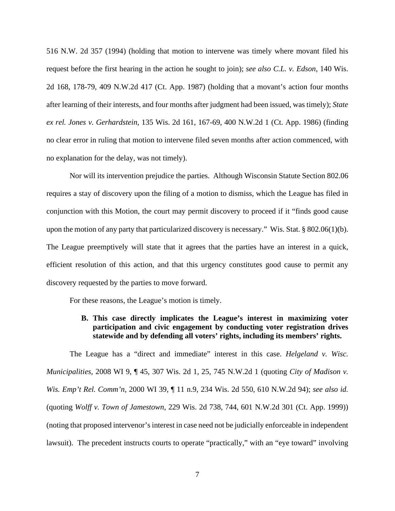516 N.W. 2d 357 (1994) (holding that motion to intervene was timely where movant filed his request before the first hearing in the action he sought to join); *see also C.L. v. Edson*, 140 Wis. 2d 168, 178-79, 409 N.W.2d 417 (Ct. App. 1987) (holding that a movant's action four months after learning of their interests, and four months after judgment had been issued, was timely); *State ex rel. Jones v. Gerhardstein*, 135 Wis. 2d 161, 167-69, 400 N.W.2d 1 (Ct. App. 1986) (finding no clear error in ruling that motion to intervene filed seven months after action commenced, with no explanation for the delay, was not timely).

Nor will its intervention prejudice the parties. Although Wisconsin Statute Section 802.06 requires a stay of discovery upon the filing of a motion to dismiss, which the League has filed in conjunction with this Motion, the court may permit discovery to proceed if it "finds good cause upon the motion of any party that particularized discovery is necessary." Wis. Stat. § 802.06(1)(b). The League preemptively will state that it agrees that the parties have an interest in a quick, efficient resolution of this action, and that this urgency constitutes good cause to permit any discovery requested by the parties to move forward.

For these reasons, the League's motion is timely.

# **B. This case directly implicates the League's interest in maximizing voter participation and civic engagement by conducting voter registration drives statewide and by defending all voters' rights, including its members' rights.**

The League has a "direct and immediate" interest in this case. *Helgeland v. Wisc. Municipalities*, 2008 WI 9, ¶ 45, 307 Wis. 2d 1, 25, 745 N.W.2d 1 (quoting *City of Madison v. Wis. Emp't Rel. Comm'n*, 2000 WI 39, ¶ 11 n.9, 234 Wis. 2d 550, 610 N.W.2d 94); *see also id.*  (quoting *Wolff v. Town of Jamestown*, 229 Wis. 2d 738, 744, 601 N.W.2d 301 (Ct. App. 1999)) (noting that proposed intervenor's interest in case need not be judicially enforceable in independent lawsuit). The precedent instructs courts to operate "practically," with an "eye toward" involving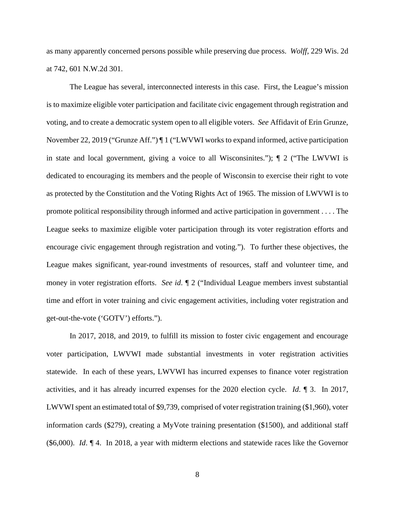as many apparently concerned persons possible while preserving due process. *Wolff*, 229 Wis. 2d at 742, 601 N.W.2d 301.

The League has several, interconnected interests in this case. First, the League's mission is to maximize eligible voter participation and facilitate civic engagement through registration and voting, and to create a democratic system open to all eligible voters. *See* Affidavit of Erin Grunze, November 22, 2019 ("Grunze Aff.") ¶ 1 ("LWVWI works to expand informed, active participation in state and local government, giving a voice to all Wisconsinites."); ¶ 2 ("The LWVWI is dedicated to encouraging its members and the people of Wisconsin to exercise their right to vote as protected by the Constitution and the Voting Rights Act of 1965. The mission of LWVWI is to promote political responsibility through informed and active participation in government . . . . The League seeks to maximize eligible voter participation through its voter registration efforts and encourage civic engagement through registration and voting."). To further these objectives, the League makes significant, year-round investments of resources, staff and volunteer time, and money in voter registration efforts. *See id*. ¶ 2 ("Individual League members invest substantial time and effort in voter training and civic engagement activities, including voter registration and get-out-the-vote ('GOTV') efforts.").

In 2017, 2018, and 2019, to fulfill its mission to foster civic engagement and encourage voter participation, LWVWI made substantial investments in voter registration activities statewide. In each of these years, LWVWI has incurred expenses to finance voter registration activities, and it has already incurred expenses for the 2020 election cycle. *Id*. ¶ 3. In 2017, LWVWI spent an estimated total of \$9,739, comprised of voter registration training (\$1,960), voter information cards (\$279), creating a MyVote training presentation (\$1500), and additional staff (\$6,000). *Id*. ¶ 4. In 2018, a year with midterm elections and statewide races like the Governor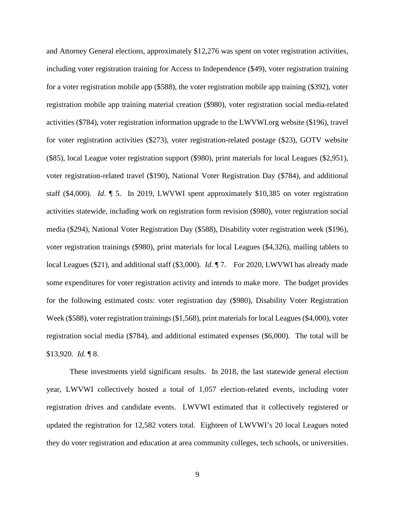and Attorney General elections, approximately \$12,276 was spent on voter registration activities, including voter registration training for Access to Independence (\$49), voter registration training for a voter registration mobile app (\$588), the voter registration mobile app training (\$392), voter registration mobile app training material creation (\$980), voter registration social media-related activities (\$784), voter registration information upgrade to the LWVWI.org website (\$196), travel for voter registration activities (\$273), voter registration-related postage (\$23), GOTV website (\$85), local League voter registration support (\$980), print materials for local Leagues (\$2,951), voter registration-related travel (\$190), National Voter Registration Day (\$784), and additional staff (\$4,000). *Id*. ¶ 5. In 2019, LWVWI spent approximately \$10,385 on voter registration activities statewide, including work on registration form revision (\$980), voter registration social media (\$294), National Voter Registration Day (\$588), Disability voter registration week (\$196), voter registration trainings (\$980), print materials for local Leagues (\$4,326), mailing tablets to local Leagues (\$21), and additional staff (\$3,000). *Id*. ¶ 7. For 2020, LWVWI has already made some expenditures for voter registration activity and intends to make more. The budget provides for the following estimated costs: voter registration day (\$980), Disability Voter Registration Week (\$588), voter registration trainings (\$1,568), print materials for local Leagues (\$4,000), voter registration social media (\$784), and additional estimated expenses (\$6,000). The total will be \$13,920. *Id*. ¶ 8.

These investments yield significant results. In 2018, the last statewide general election year, LWVWI collectively hosted a total of 1,057 election-related events, including voter registration drives and candidate events. LWVWI estimated that it collectively registered or updated the registration for 12,582 voters total. Eighteen of LWVWI's 20 local Leagues noted they do voter registration and education at area community colleges, tech schools, or universities.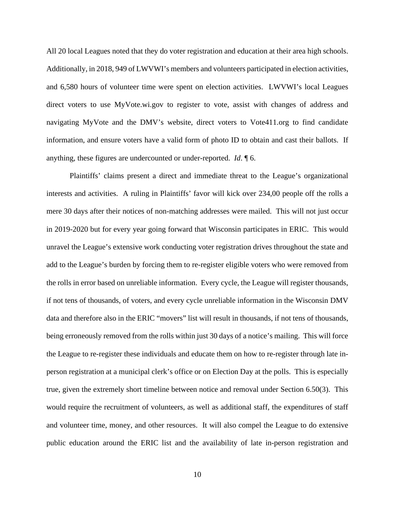All 20 local Leagues noted that they do voter registration and education at their area high schools. Additionally, in 2018, 949 of LWVWI's members and volunteers participated in election activities, and 6,580 hours of volunteer time were spent on election activities. LWVWI's local Leagues direct voters to use MyVote.wi.gov to register to vote, assist with changes of address and navigating MyVote and the DMV's website, direct voters to Vote411.org to find candidate information, and ensure voters have a valid form of photo ID to obtain and cast their ballots. If anything, these figures are undercounted or under-reported. *Id*. ¶ 6.

Plaintiffs' claims present a direct and immediate threat to the League's organizational interests and activities. A ruling in Plaintiffs' favor will kick over 234,00 people off the rolls a mere 30 days after their notices of non-matching addresses were mailed. This will not just occur in 2019-2020 but for every year going forward that Wisconsin participates in ERIC. This would unravel the League's extensive work conducting voter registration drives throughout the state and add to the League's burden by forcing them to re-register eligible voters who were removed from the rolls in error based on unreliable information. Every cycle, the League will register thousands, if not tens of thousands, of voters, and every cycle unreliable information in the Wisconsin DMV data and therefore also in the ERIC "movers" list will result in thousands, if not tens of thousands, being erroneously removed from the rolls within just 30 days of a notice's mailing. This will force the League to re-register these individuals and educate them on how to re-register through late inperson registration at a municipal clerk's office or on Election Day at the polls. This is especially true, given the extremely short timeline between notice and removal under Section 6.50(3). This would require the recruitment of volunteers, as well as additional staff, the expenditures of staff and volunteer time, money, and other resources. It will also compel the League to do extensive public education around the ERIC list and the availability of late in-person registration and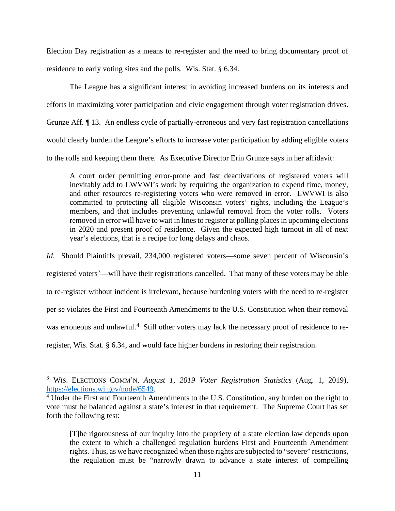Election Day registration as a means to re-register and the need to bring documentary proof of residence to early voting sites and the polls. Wis. Stat. § 6.34.

The League has a significant interest in avoiding increased burdens on its interests and efforts in maximizing voter participation and civic engagement through voter registration drives. Grunze Aff. ¶ 13. An endless cycle of partially-erroneous and very fast registration cancellations would clearly burden the League's efforts to increase voter participation by adding eligible voters to the rolls and keeping them there. As Executive Director Erin Grunze says in her affidavit:

A court order permitting error-prone and fast deactivations of registered voters will inevitably add to LWVWI's work by requiring the organization to expend time, money, and other resources re-registering voters who were removed in error. LWVWI is also committed to protecting all eligible Wisconsin voters' rights, including the League's members, and that includes preventing unlawful removal from the voter rolls. Voters removed in error will have to wait in lines to register at polling places in upcoming elections in 2020 and present proof of residence. Given the expected high turnout in all of next year's elections, that is a recipe for long delays and chaos.

*Id*. Should Plaintiffs prevail, 234,000 registered voters—some seven percent of Wisconsin's registered voters<sup>[3](#page-10-0)</sup>—will have their registrations cancelled. That many of these voters may be able to re-register without incident is irrelevant, because burdening voters with the need to re-register per se violates the First and Fourteenth Amendments to the U.S. Constitution when their removal was erroneous and unlawful.<sup>[4](#page-10-1)</sup> Still other voters may lack the necessary proof of residence to reregister, Wis. Stat. § 6.34, and would face higher burdens in restoring their registration.

<span id="page-10-0"></span><sup>3</sup> WIS. ELECTIONS COMM'N, *August 1, 2019 Voter Registration Statistics* (Aug. 1, 2019), [https://elections.wi.gov/node/6549.](https://elections.wi.gov/node/6549)

<span id="page-10-1"></span><sup>&</sup>lt;sup>4</sup> Under the First and Fourteenth Amendments to the U.S. Constitution, any burden on the right to vote must be balanced against a state's interest in that requirement. The Supreme Court has set forth the following test:

<sup>[</sup>T]he rigorousness of our inquiry into the propriety of a state election law depends upon the extent to which a challenged regulation burdens First and Fourteenth Amendment rights. Thus, as we have recognized when those rights are subjected to "severe" restrictions, the regulation must be "narrowly drawn to advance a state interest of compelling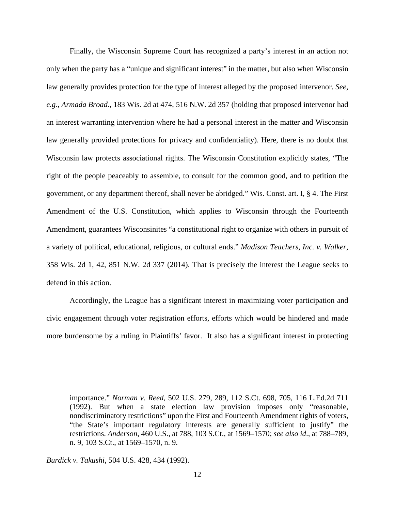Finally, the Wisconsin Supreme Court has recognized a party's interest in an action not only when the party has a "unique and significant interest" in the matter, but also when Wisconsin law generally provides protection for the type of interest alleged by the proposed intervenor. *See, e.g., Armada Broad.*, 183 Wis. 2d at 474, 516 N.W. 2d 357 (holding that proposed intervenor had an interest warranting intervention where he had a personal interest in the matter and Wisconsin law generally provided protections for privacy and confidentiality). Here, there is no doubt that Wisconsin law protects associational rights. The Wisconsin Constitution explicitly states, "The right of the people peaceably to assemble, to consult for the common good, and to petition the government, or any department thereof, shall never be abridged." Wis. Const. art. I, § 4. The First Amendment of the U.S. Constitution, which applies to Wisconsin through the Fourteenth Amendment, guarantees Wisconsinites "a constitutional right to organize with others in pursuit of a variety of political, educational, religious, or cultural ends." *Madison Teachers, Inc. v. Walker*, 358 Wis. 2d 1, 42, 851 N.W. 2d 337 (2014). That is precisely the interest the League seeks to defend in this action.

Accordingly, the League has a significant interest in maximizing voter participation and civic engagement through voter registration efforts, efforts which would be hindered and made more burdensome by a ruling in Plaintiffs' favor. It also has a significant interest in protecting

*Burdick v. Takushi*, 504 U.S. 428, 434 (1992).

importance." *Norman v. Reed*, 502 U.S. 279, 289, 112 S.Ct. 698, 705, 116 L.Ed.2d 711 (1992). But when a state election law provision imposes only "reasonable, nondiscriminatory restrictions" upon the First and Fourteenth Amendment rights of voters, "the State's important regulatory interests are generally sufficient to justify" the restrictions. *Anderson*, 460 U.S., at 788, 103 S.Ct., at 1569–1570; *see also id*., at 788–789, n. 9, 103 S.Ct., at 1569–1570, n. 9.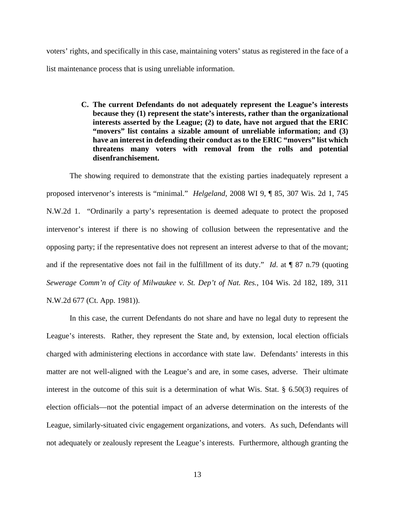voters' rights, and specifically in this case, maintaining voters' status as registered in the face of a list maintenance process that is using unreliable information.

> **C. The current Defendants do not adequately represent the League's interests because they (1) represent the state's interests, rather than the organizational interests asserted by the League; (2) to date, have not argued that the ERIC "movers" list contains a sizable amount of unreliable information; and (3) have an interest in defending their conduct as to the ERIC "movers" list which threatens many voters with removal from the rolls and potential disenfranchisement.**

The showing required to demonstrate that the existing parties inadequately represent a proposed intervenor's interests is "minimal." *Helgeland*, 2008 WI 9, ¶ 85, 307 Wis. 2d 1, 745 N.W.2d 1. "Ordinarily a party's representation is deemed adequate to protect the proposed intervenor's interest if there is no showing of collusion between the representative and the opposing party; if the representative does not represent an interest adverse to that of the movant; and if the representative does not fail in the fulfillment of its duty." *Id*. at ¶ 87 n.79 (quoting *Sewerage Comm'n of City of Milwaukee v. St. Dep't of Nat. Res.*, 104 Wis. 2d 182, 189, 311 N.W.2d 677 (Ct. App. 1981)).

In this case, the current Defendants do not share and have no legal duty to represent the League's interests. Rather, they represent the State and, by extension, local election officials charged with administering elections in accordance with state law. Defendants' interests in this matter are not well-aligned with the League's and are, in some cases, adverse. Their ultimate interest in the outcome of this suit is a determination of what Wis. Stat. § 6.50(3) requires of election officials—not the potential impact of an adverse determination on the interests of the League, similarly-situated civic engagement organizations, and voters. As such, Defendants will not adequately or zealously represent the League's interests. Furthermore, although granting the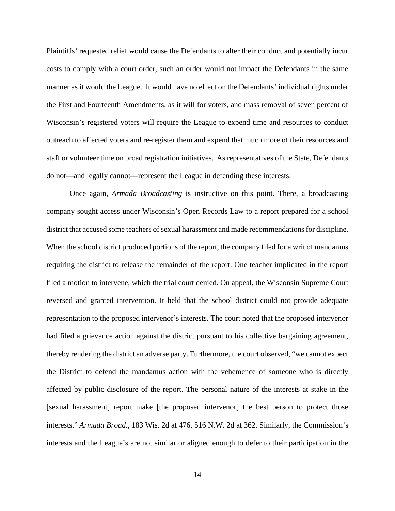Plaintiffs' requested relief would cause the Defendants to alter their conduct and potentially incur costs to comply with a court order, such an order would not impact the Defendants in the same manner as it would the League. It would have no effect on the Defendants' individual rights under the First and Fourteenth Amendments, as it will for voters, and mass removal of seven percent of Wisconsin's registered voters will require the League to expend time and resources to conduct outreach to affected voters and re-register them and expend that much more of their resources and staff or volunteer time on broad registration initiatives. As representatives of the State, Defendants do not—and legally cannot—represent the League in defending these interests.

Once again, *Armada Broadcasting* is instructive on this point. There, a broadcasting company sought access under Wisconsin's Open Records Law to a report prepared for a school district that accused some teachers of sexual harassment and made recommendations for discipline. When the school district produced portions of the report, the company filed for a writ of mandamus requiring the district to release the remainder of the report. One teacher implicated in the report filed a motion to intervene, which the trial court denied. On appeal, the Wisconsin Supreme Court reversed and granted intervention. It held that the school district could not provide adequate representation to the proposed intervenor's interests. The court noted that the proposed intervenor had filed a grievance action against the district pursuant to his collective bargaining agreement, thereby rendering the district an adverse party. Furthermore, the court observed, "we cannot expect the District to defend the mandamus action with the vehemence of someone who is directly affected by public disclosure of the report. The personal nature of the interests at stake in the [sexual harassment] report make [the proposed intervenor] the best person to protect those interests." *Armada Broad.*, 183 Wis. 2d at 476, 516 N.W. 2d at 362. Similarly, the Commission's interests and the League's are not similar or aligned enough to defer to their participation in the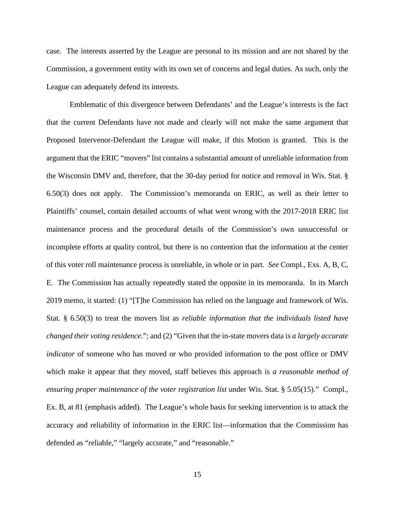case. The interests asserted by the League are personal to its mission and are not shared by the Commission, a government entity with its own set of concerns and legal duties. As such, only the League can adequately defend its interests.

Emblematic of this divergence between Defendants' and the League's interests is the fact that the current Defendants have not made and clearly will not make the same argument that Proposed Intervenor-Defendant the League will make, if this Motion is granted. This is the argument that the ERIC "movers" list contains a substantial amount of unreliable information from the Wisconsin DMV and, therefore, that the 30-day period for notice and removal in Wis. Stat. § 6.50(3) does not apply. The Commission's memoranda on ERIC, as well as their letter to Plaintiffs' counsel, contain detailed accounts of what went wrong with the 2017-2018 ERIC list maintenance process and the procedural details of the Commission's own unsuccessful or incomplete efforts at quality control, but there is no contention that the information at the center of this voter roll maintenance process is unreliable, in whole or in part. *See* Compl., Exs. A, B, C, E. The Commission has actually repeatedly stated the opposite in its memoranda. In its March 2019 memo, it started: (1) "[T]he Commission has relied on the language and framework of Wis. Stat. § 6.50(3) to treat the movers list as *reliable information that the individuals listed have changed their voting residence*."; and (2) "Given that the in-state movers data is *a largely accurate indicator* of someone who has moved or who provided information to the post office or DMV which make it appear that they moved, staff believes this approach is *a reasonable method of ensuring proper maintenance of the voter registration list* under Wis. Stat. § 5.05(15)." Compl., Ex. B, at 81 (emphasis added). The League's whole basis for seeking intervention is to attack the accuracy and reliability of information in the ERIC list—information that the Commission has defended as "reliable," "largely accurate," and "reasonable."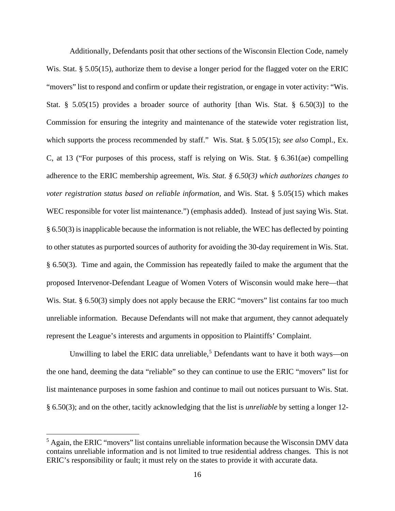Additionally, Defendants posit that other sections of the Wisconsin Election Code, namely Wis. Stat. § 5.05(15), authorize them to devise a longer period for the flagged voter on the ERIC "movers" list to respond and confirm or update their registration, or engage in voter activity: "Wis. Stat. § 5.05(15) provides a broader source of authority [than Wis. Stat. § 6.50(3)] to the Commission for ensuring the integrity and maintenance of the statewide voter registration list, which supports the process recommended by staff." Wis. Stat. § 5.05(15); *see also* Compl., Ex. C, at 13 ("For purposes of this process, staff is relying on Wis. Stat. § 6.361(ae) compelling adherence to the ERIC membership agreement, *Wis. Stat. § 6.50(3) which authorizes changes to voter registration status based on reliable information*, and Wis. Stat. § 5.05(15) which makes WEC responsible for voter list maintenance.") (emphasis added). Instead of just saying Wis. Stat. § 6.50(3) is inapplicable because the information is not reliable, the WEC has deflected by pointing to other statutes as purported sources of authority for avoiding the 30-day requirement in Wis. Stat. § 6.50(3). Time and again, the Commission has repeatedly failed to make the argument that the proposed Intervenor-Defendant League of Women Voters of Wisconsin would make here—that Wis. Stat. § 6.50(3) simply does not apply because the ERIC "movers" list contains far too much unreliable information. Because Defendants will not make that argument, they cannot adequately represent the League's interests and arguments in opposition to Plaintiffs' Complaint.

Unwilling to label the ERIC data unreliable,<sup>[5](#page-15-0)</sup> Defendants want to have it both ways—on the one hand, deeming the data "reliable" so they can continue to use the ERIC "movers" list for list maintenance purposes in some fashion and continue to mail out notices pursuant to Wis. Stat. § 6.50(3); and on the other, tacitly acknowledging that the list is *unreliable* by setting a longer 12-

<span id="page-15-0"></span><sup>&</sup>lt;sup>5</sup> Again, the ERIC "movers" list contains unreliable information because the Wisconsin DMV data contains unreliable information and is not limited to true residential address changes. This is not ERIC's responsibility or fault; it must rely on the states to provide it with accurate data.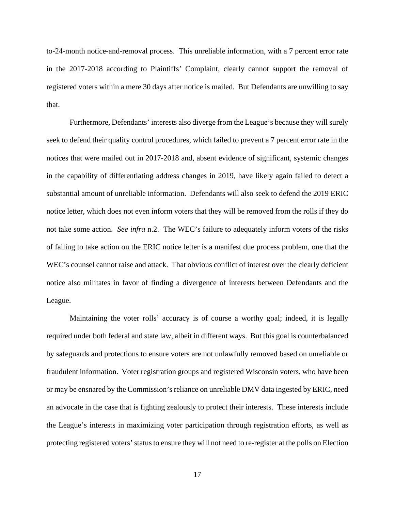to-24-month notice-and-removal process. This unreliable information, with a 7 percent error rate in the 2017-2018 according to Plaintiffs' Complaint, clearly cannot support the removal of registered voters within a mere 30 days after notice is mailed. But Defendants are unwilling to say that.

Furthermore, Defendants' interests also diverge from the League's because they will surely seek to defend their quality control procedures, which failed to prevent a 7 percent error rate in the notices that were mailed out in 2017-2018 and, absent evidence of significant, systemic changes in the capability of differentiating address changes in 2019, have likely again failed to detect a substantial amount of unreliable information. Defendants will also seek to defend the 2019 ERIC notice letter, which does not even inform voters that they will be removed from the rolls if they do not take some action. *See infra* n.2. The WEC's failure to adequately inform voters of the risks of failing to take action on the ERIC notice letter is a manifest due process problem, one that the WEC's counsel cannot raise and attack. That obvious conflict of interest over the clearly deficient notice also militates in favor of finding a divergence of interests between Defendants and the League.

Maintaining the voter rolls' accuracy is of course a worthy goal; indeed, it is legally required under both federal and state law, albeit in different ways. But this goal is counterbalanced by safeguards and protections to ensure voters are not unlawfully removed based on unreliable or fraudulent information. Voter registration groups and registered Wisconsin voters, who have been or may be ensnared by the Commission's reliance on unreliable DMV data ingested by ERIC, need an advocate in the case that is fighting zealously to protect their interests. These interests include the League's interests in maximizing voter participation through registration efforts, as well as protecting registered voters'status to ensure they will not need to re-register at the polls on Election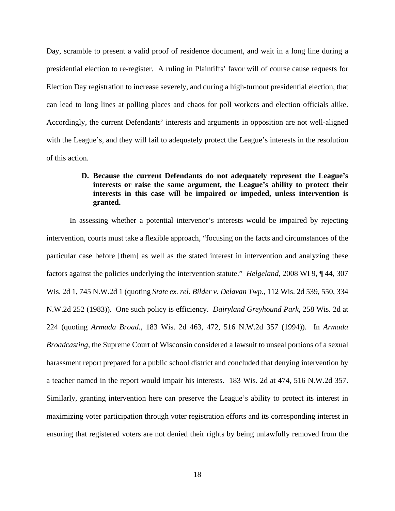Day, scramble to present a valid proof of residence document, and wait in a long line during a presidential election to re-register. A ruling in Plaintiffs' favor will of course cause requests for Election Day registration to increase severely, and during a high-turnout presidential election, that can lead to long lines at polling places and chaos for poll workers and election officials alike. Accordingly, the current Defendants' interests and arguments in opposition are not well-aligned with the League's, and they will fail to adequately protect the League's interests in the resolution of this action.

# **D. Because the current Defendants do not adequately represent the League's interests or raise the same argument, the League's ability to protect their interests in this case will be impaired or impeded, unless intervention is granted.**

In assessing whether a potential intervenor's interests would be impaired by rejecting intervention, courts must take a flexible approach, "focusing on the facts and circumstances of the particular case before [them] as well as the stated interest in intervention and analyzing these factors against the policies underlying the intervention statute." *Helgeland*, 2008 WI 9, ¶ 44, 307 Wis. 2d 1, 745 N.W.2d 1 (quoting *State ex. rel. Bilder v. Delavan Twp.*, 112 Wis. 2d 539, 550, 334 N.W.2d 252 (1983)). One such policy is efficiency. *Dairyland Greyhound Park,* 258 Wis. 2d at 224 (quoting *Armada Broad.*, 183 Wis. 2d 463, 472, 516 N.W.2d 357 (1994)). In *Armada Broadcasting*, the Supreme Court of Wisconsin considered a lawsuit to unseal portions of a sexual harassment report prepared for a public school district and concluded that denying intervention by a teacher named in the report would impair his interests. 183 Wis. 2d at 474, 516 N.W.2d 357. Similarly, granting intervention here can preserve the League's ability to protect its interest in maximizing voter participation through voter registration efforts and its corresponding interest in ensuring that registered voters are not denied their rights by being unlawfully removed from the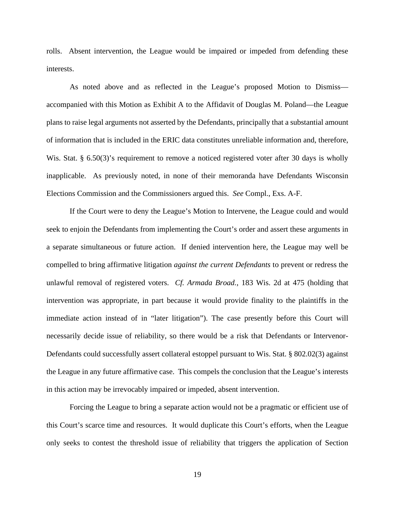rolls. Absent intervention, the League would be impaired or impeded from defending these interests.

As noted above and as reflected in the League's proposed Motion to Dismiss accompanied with this Motion as Exhibit A to the Affidavit of Douglas M. Poland—the League plans to raise legal arguments not asserted by the Defendants, principally that a substantial amount of information that is included in the ERIC data constitutes unreliable information and, therefore, Wis. Stat. § 6.50(3)'s requirement to remove a noticed registered voter after 30 days is wholly inapplicable. As previously noted, in none of their memoranda have Defendants Wisconsin Elections Commission and the Commissioners argued this. *See* Compl., Exs. A-F.

If the Court were to deny the League's Motion to Intervene, the League could and would seek to enjoin the Defendants from implementing the Court's order and assert these arguments in a separate simultaneous or future action. If denied intervention here, the League may well be compelled to bring affirmative litigation *against the current Defendants* to prevent or redress the unlawful removal of registered voters. *Cf. Armada Broad.*, 183 Wis. 2d at 475 (holding that intervention was appropriate, in part because it would provide finality to the plaintiffs in the immediate action instead of in "later litigation"). The case presently before this Court will necessarily decide issue of reliability, so there would be a risk that Defendants or Intervenor-Defendants could successfully assert collateral estoppel pursuant to Wis. Stat. § 802.02(3) against the League in any future affirmative case. This compels the conclusion that the League's interests in this action may be irrevocably impaired or impeded, absent intervention.

Forcing the League to bring a separate action would not be a pragmatic or efficient use of this Court's scarce time and resources. It would duplicate this Court's efforts, when the League only seeks to contest the threshold issue of reliability that triggers the application of Section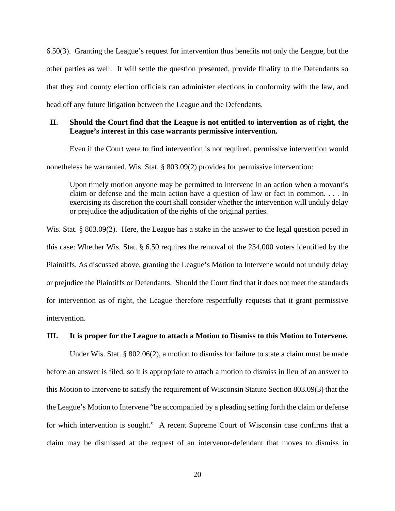6.50(3). Granting the League's request for intervention thus benefits not only the League, but the other parties as well. It will settle the question presented, provide finality to the Defendants so that they and county election officials can administer elections in conformity with the law, and head off any future litigation between the League and the Defendants.

#### **II. Should the Court find that the League is not entitled to intervention as of right, the League's interest in this case warrants permissive intervention.**

Even if the Court were to find intervention is not required, permissive intervention would

nonetheless be warranted. Wis. Stat. § 803.09(2) provides for permissive intervention:

Upon timely motion anyone may be permitted to intervene in an action when a movant's claim or defense and the main action have a question of law or fact in common. . . . In exercising its discretion the court shall consider whether the intervention will unduly delay or prejudice the adjudication of the rights of the original parties.

Wis. Stat. § 803.09(2). Here, the League has a stake in the answer to the legal question posed in this case: Whether Wis. Stat. § 6.50 requires the removal of the 234,000 voters identified by the Plaintiffs. As discussed above, granting the League's Motion to Intervene would not unduly delay or prejudice the Plaintiffs or Defendants. Should the Court find that it does not meet the standards for intervention as of right, the League therefore respectfully requests that it grant permissive intervention.

## **III. It is proper for the League to attach a Motion to Dismiss to this Motion to Intervene.**

Under Wis. Stat. § 802.06(2), a motion to dismiss for failure to state a claim must be made before an answer is filed, so it is appropriate to attach a motion to dismiss in lieu of an answer to this Motion to Intervene to satisfy the requirement of Wisconsin Statute Section 803.09(3) that the the League's Motion to Intervene "be accompanied by a pleading setting forth the claim or defense for which intervention is sought." A recent Supreme Court of Wisconsin case confirms that a claim may be dismissed at the request of an intervenor-defendant that moves to dismiss in